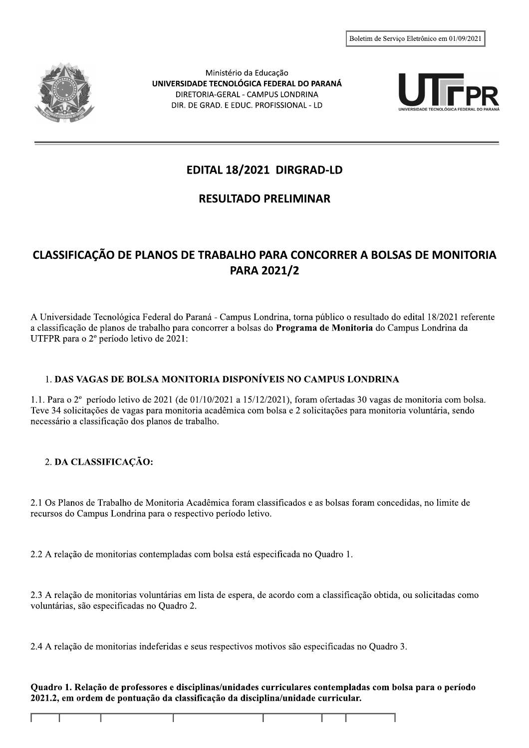

Ministério da Educação UNIVERSIDADE TECNOLÓGICA FEDERAL DO PARANÁ DIRETORIA-GERAL - CAMPUS LONDRINA DIR. DE GRAD. E EDUC. PROFISSIONAL - LD



# EDITAL 18/2021 DIRGRAD-LD

## **RESULTADO PRELIMINAR**

## CLASSIFICAÇÃO DE PLANOS DE TRABALHO PARA CONCORRER A BOLSAS DE MONITORIA **PARA 2021/2**

A Universidade Tecnológica Federal do Paraná - Campus Londrina, torna público o resultado do edital 18/2021 referente a classificação de planos de trabalho para concorrer a bolsas do **Programa de Monitoria** do Campus Londrina da UTFPR para o 2º período letivo de 2021:

### 1. DAS VAGAS DE BOLSA MONITORIA DISPONÍVEIS NO CAMPUS LONDRINA

1.1. Para o 2º período letivo de 2021 (de 01/10/2021 a 15/12/2021), foram ofertadas 30 vagas de monitoria com bolsa. Teve 34 solicitações de vagas para monitoria acadêmica com bolsa e 2 solicitações para monitoria voluntária, sendo necessário a classificação dos planos de trabalho.

### 2. DA CLASSIFICAÇÃO:

2.1 Os Planos de Trabalho de Monitoria Acadêmica foram classificados e as bolsas foram concedidas, no limite de recursos do Campus Londrina para o respectivo período letivo.

2.2 A relação de monitorias contempladas com bolsa está especificada no Quadro 1.

2.3 A relação de monitorias voluntárias em lista de espera, de acordo com a classificação obtida, ou solicitadas como voluntárias, são especificadas no Quadro 2.

2.4 A relação de monitorias indeferidas e seus respectivos motivos são especificadas no Quadro 3.

#### Quadro 1. Relação de professores e disciplinas/unidades curriculares contempladas com bolsa para o período 2021.2, em ordem de pontuação da classificação da disciplina/unidade curricular.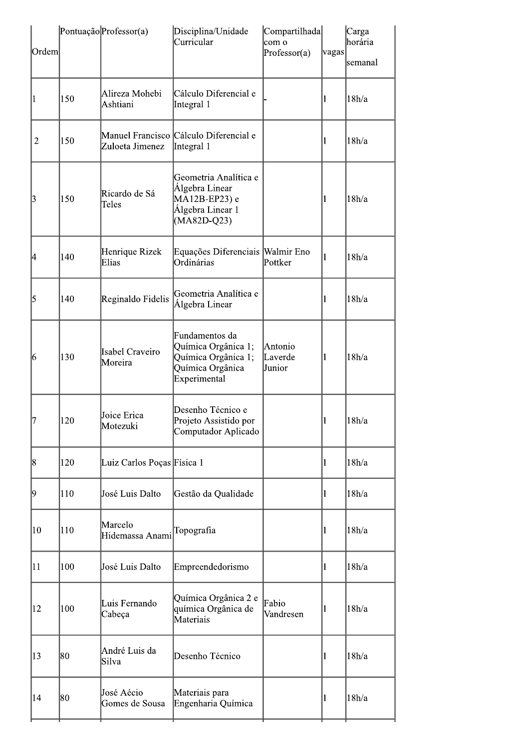| Ordem          |     | Pontuação Professor(a)            | Disciplina/Unidade<br>Curricular                                                                 | Compartilhada<br>com o<br>Professor(a) | vagas | Carga<br>horária<br>semanal |
|----------------|-----|-----------------------------------|--------------------------------------------------------------------------------------------------|----------------------------------------|-------|-----------------------------|
|                | 150 | Alireza Mohebi<br>Ashtiani        | Cálculo Diferencial e<br>Integral 1                                                              | 11                                     |       | 18h/a                       |
| $\overline{2}$ | 150 | Zuloeta Jimenez                   | Manuel Francisco Cálculo Diferencial e<br>Integral 1                                             | 1                                      |       | 18h/a                       |
| 3              | 150 | Ricardo de Sá<br>Teles            | Geometria Analítica e<br>Álgebra Linear<br>MA12B-EP23) e<br>Álgebra Linear 1<br>(MA82D-Q23)      | 11                                     |       | 18h/a                       |
| 14             | 140 | Henrique Rizek<br>Elias           | Equações Diferenciais Walmir Eno<br>Ordinárias                                                   | Pottker                                | 1     | 18h/a                       |
| 5              | 140 | Reginaldo Fidelis                 | Geometria Analítica e<br>Álgebra Linear                                                          |                                        | 1     | 18h/a                       |
| 6              | 130 | <b>Isabel Craveiro</b><br>Moreira | Fundamentos da<br>Química Orgânica 1;<br>Química Orgânica 1;<br>Química Orgânica<br>Experimental | Antonio<br>Laverde<br>Junior           | 11    | 18h/a                       |
| 7              | 120 | Joice Erica<br>Motezuki           | Desenho Técnico e<br>Projeto Assistido por<br>Computador Aplicado                                |                                        |       | $\vert 18h/a \vert$         |
| 8              | 120 | Luiz Carlos Poças Física 1        |                                                                                                  |                                        | Ш     | 18h/a                       |
| 19             | 110 | José Luis Dalto                   | Gestão da Qualidade                                                                              | 11                                     |       | 18h/a                       |
| $ 10\rangle$   | 110 | Marcelo<br>Hidemassa Anami        | Topografia                                                                                       | 11                                     |       | 18h/a                       |
| 11             | 100 | José Luis Dalto                   | Empreendedorismo                                                                                 | 11                                     |       | 18h/a                       |
| 12             | 100 | Luis Fernando<br>Cabeça           | Química Orgânica 2 e<br>química Orgânica de<br>Materiais                                         | Fabio<br>1<br>Vandresen                |       | 18h/a                       |
| 13             | 80  | André Luis da<br>Silva            | Desenho Técnico                                                                                  | 1                                      |       | 18h/a                       |
| 14             | 80  | José Aécio<br>Gomes de Sousa      | Materiais para<br>Engenharia Química                                                             | 1                                      |       | 18h/a                       |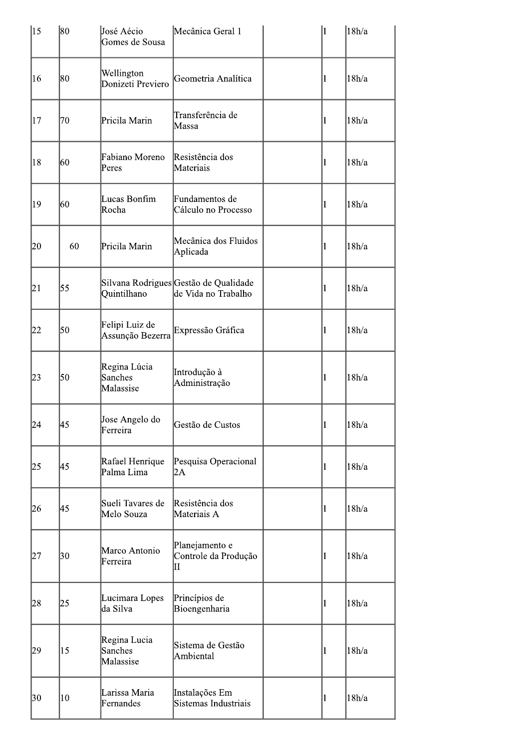| 15 | 80 | José Aécio<br>Gomes de Sousa         | Mecânica Geral 1                                             |              | 1         | 18h/a |
|----|----|--------------------------------------|--------------------------------------------------------------|--------------|-----------|-------|
| 16 | 80 | Wellington<br>Donizeti Previero      | Geometria Analítica                                          |              | 11        | 18h/a |
| 17 | 70 | Pricila Marin                        | Transferência de<br>Massa                                    |              | $\vert$   | 18h/a |
| 18 | 60 | Fabiano Moreno<br>Peres              | Resistência dos<br>Materiais                                 |              | $\vert$ 1 | 18h/a |
| 19 | 60 | Lucas Bonfim<br>Rocha                | Fundamentos de<br>Cálculo no Processo                        |              | $\vert$   | 18h/a |
| 20 | 60 | Pricila Marin                        | Mecânica dos Fluidos<br>Aplicada                             | $\vert$      |           | 18h/a |
| 21 | 55 | Quintilhano                          | Silvana Rodrigues Gestão de Qualidade<br>de Vida no Trabalho | $\mathbf{1}$ |           | 18h/a |
| 22 | 50 | Felipi Luiz de<br>Assunção Bezerra   | Expressão Gráfica                                            |              |           | 18h/a |
| 23 | 50 | Regina Lúcia<br>Sanches<br>Malassise | Introdução à<br>Administração                                |              | $\vert$   | 18h/a |
| 24 | 45 | Jose Angelo do<br>Ferreira           | Gestão de Custos                                             |              | П         | 18h/a |
| 25 | 45 | Rafael Henrique<br>Palma Lima        | Pesquisa Operacional<br>2A                                   | $\vert$      |           | 18h/a |
| 26 | 45 | Sueli Tavares de<br>Melo Souza       | Resistência dos<br>Materiais A                               | 1            |           | 18h/a |
| 27 | 30 | Marco Antonio<br>Ferreira            | Planejamento e<br>Controle da Produção<br>П                  | 11           |           | 18h/a |
| 28 | 25 | Lucimara Lopes<br>da Silva           | Princípios de<br>Bioengenharia                               | $\vert$      |           | 18h/a |
| 29 | 15 | Regina Lucia<br>Sanches<br>Malassise | Sistema de Gestão<br>Ambiental                               | 1            |           | 18h/a |
| 30 | 10 | Larissa Maria<br>Fernandes           | Instalações Em<br>Sistemas Industriais                       |              | $\vert$   | 18h/a |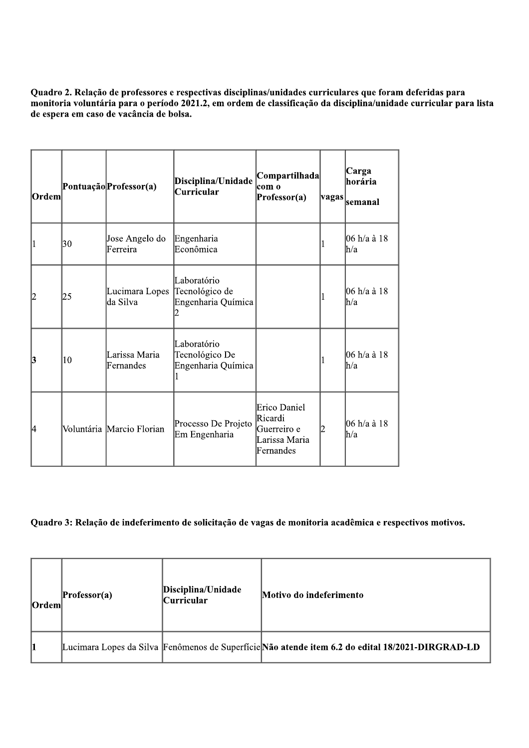Ouadro 2. Relação de professores e respectivas disciplinas/unidades curriculares que foram deferidas para monitoria voluntária para o período 2021.2, em ordem de classificação da disciplina/unidade curricular para lista de espera em caso de vacância de bolsa.

| Quadro 2. Relação de professores e respectivas disciplinas/unidades curriculares que foram deferidas<br>monitoria voluntária para o período 2021.2, em ordem de classificação da disciplina/unidade curricu<br>de espera em caso de vacância de bolsa. |    |                            |                                                     |                                                                      |       |                             |
|--------------------------------------------------------------------------------------------------------------------------------------------------------------------------------------------------------------------------------------------------------|----|----------------------------|-----------------------------------------------------|----------------------------------------------------------------------|-------|-----------------------------|
| Ordem                                                                                                                                                                                                                                                  |    | Pontuação Professor(a)     | Disciplina/Unidade<br><b>Curricular</b>             | Compartilhada <br>com o<br>Professor(a)                              | vagas | Carga<br>horária<br>semanal |
|                                                                                                                                                                                                                                                        | 30 | Jose Angelo do<br>Ferreira | Engenharia<br>Econômica                             |                                                                      |       | 06 h/a à 18<br>h/a          |
| 12                                                                                                                                                                                                                                                     | 25 | Lucimara Lopes<br>da Silva | Laboratório<br>Tecnológico de<br>Engenharia Química |                                                                      |       | 06 h/a à 18<br>h/a          |
| 3                                                                                                                                                                                                                                                      | 10 | Larissa Maria<br>Fernandes | Laboratório<br>Tecnológico De<br>Engenharia Química |                                                                      |       | 06 h/a à 18<br>h/a          |
| 4                                                                                                                                                                                                                                                      |    | Voluntária Marcio Florian  | Processo De Projeto<br>Em Engenharia                | Erico Daniel<br>Ricardi<br>Guerreiro e<br>Larissa Maria<br>Fernandes |       | 06 h/a à 18<br>h/a          |

#### Ouadro 3: Relação de indeferimento de solicitação de vagas de monitoria acadêmica e respectivos motivos.

| Quadro 3: Relação de indeferimento de solicitação de vagas de monitoria acadêmica e respectivos motivos. |                |                                         |                                                                                                  |  |  |  |
|----------------------------------------------------------------------------------------------------------|----------------|-----------------------------------------|--------------------------------------------------------------------------------------------------|--|--|--|
| Ordem                                                                                                    | $Professor(a)$ | Disciplina/Unidade<br><b>Curricular</b> | Motivo do indeferimento                                                                          |  |  |  |
|                                                                                                          |                |                                         | Lucimara Lopes da Silva Fenômenos de Superfície Não atende item 6.2 do edital 18/2021-DIRGRAD-LD |  |  |  |
|                                                                                                          |                |                                         |                                                                                                  |  |  |  |